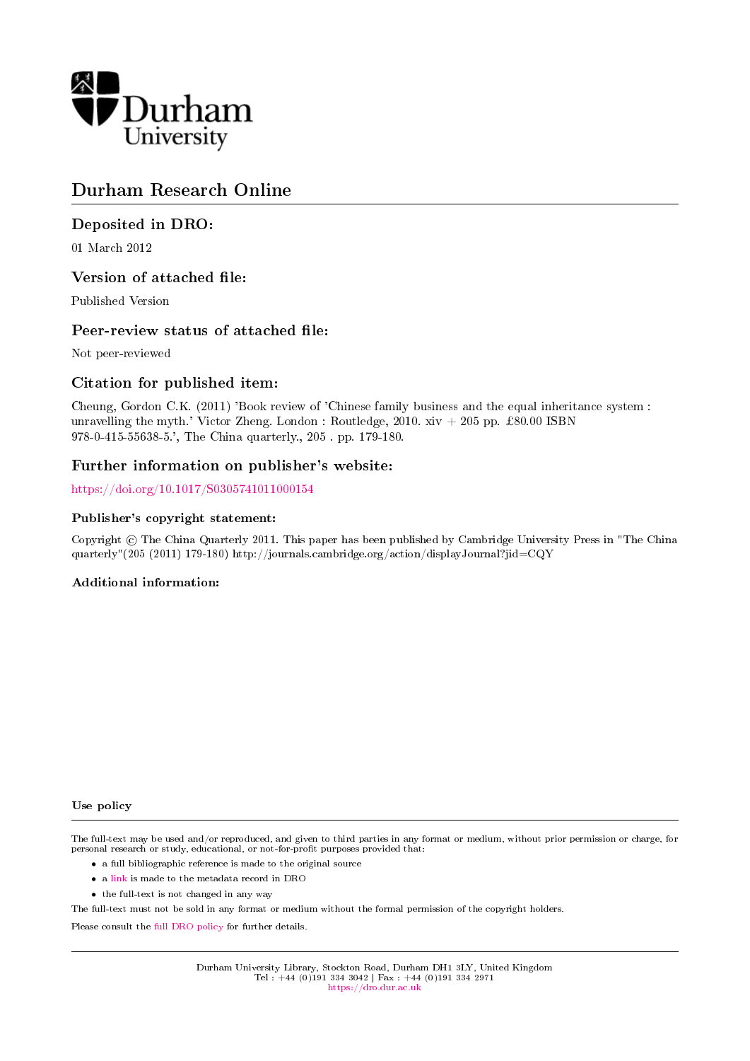

# Durham Research Online

## Deposited in DRO:

01 March 2012

### Version of attached file:

Published Version

#### Peer-review status of attached file:

Not peer-reviewed

### Citation for published item:

Cheung, Gordon C.K. (2011) 'Book review of 'Chinese family business and the equal inheritance system : unravelling the myth.' Victor Zheng. London : Routledge,  $2010. xiv + 205$  pp. £80.00 ISBN 978-0-415-55638-5.', The China quarterly., 205 . pp. 179-180.

#### Further information on publisher's website:

<https://doi.org/10.1017/S0305741011000154>

#### Publisher's copyright statement:

Copyright © The China Quarterly 2011. This paper has been published by Cambridge University Press in "The China quarterly"(205 (2011) 179-180) http://journals.cambridge.org/action/displayJournal?jid=CQY

#### Additional information:

Use policy

The full-text may be used and/or reproduced, and given to third parties in any format or medium, without prior permission or charge, for personal research or study, educational, or not-for-profit purposes provided that:

- a full bibliographic reference is made to the original source
- a [link](http://dro.dur.ac.uk/8688/) is made to the metadata record in DRO
- the full-text is not changed in any way

The full-text must not be sold in any format or medium without the formal permission of the copyright holders.

Please consult the [full DRO policy](https://dro.dur.ac.uk/policies/usepolicy.pdf) for further details.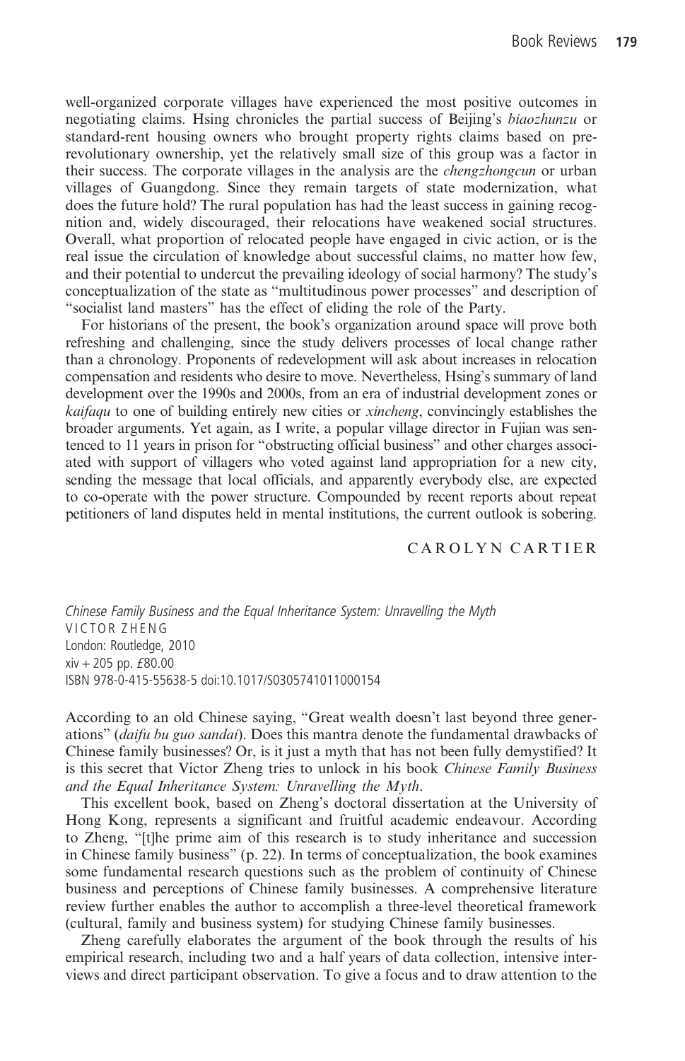well-organized corporate villages have experienced the most positive outcomes in negotiating claims. Hsing chronicles the partial success of Beijing's biaozhunzu or standard-rent housing owners who brought property rights claims based on prerevolutionary ownership, yet the relatively small size of this group was a factor in their success. The corporate villages in the analysis are the chengzhongcun or urban villages of Guangdong. Since they remain targets of state modernization, what does the future hold? The rural population has had the least success in gaining recognition and, widely discouraged, their relocations have weakened social structures. Overall, what proportion of relocated people have engaged in civic action, or is the real issue the circulation of knowledge about successful claims, no matter how few, and their potential to undercut the prevailing ideology of social harmony? The study's conceptualization of the state as "multitudinous power processes" and description of "socialist land masters" has the effect of eliding the role of the Party.

For historians of the present, the book's organization around space will prove both refreshing and challenging, since the study delivers processes of local change rather than a chronology. Proponents of redevelopment will ask about increases in relocation compensation and residents who desire to move. Nevertheless, Hsing's summary of land development over the 1990s and 2000s, from an era of industrial development zones or kaifaqu to one of building entirely new cities or xincheng, convincingly establishes the broader arguments. Yet again, as I write, a popular village director in Fujian was sentenced to 11 years in prison for "obstructing official business" and other charges associated with support of villagers who voted against land appropriation for a new city, sending the message that local officials, and apparently everybody else, are expected to co-operate with the power structure. Compounded by recent reports about repeat petitioners of land disputes held in mental institutions, the current outlook is sobering.

#### CAROLYN CARTIER

Chinese Family Business and the Equal Inheritance System: Unravelling the Myth VICTOR ZHENG London: Routledge, 2010  $xiv + 205$  pp.  $£80.00$ ISBN 978-0-415-55638-5 doi:10.1017/S0305741011000154

According to an old Chinese saying, "Great wealth doesn't last beyond three generations" (daifu bu guo sandai). Does this mantra denote the fundamental drawbacks of Chinese family businesses? Or, is it just a myth that has not been fully demystified? It is this secret that Victor Zheng tries to unlock in his book Chinese Family Business and the Equal Inheritance System: Unravelling the Myth.

This excellent book, based on Zheng's doctoral dissertation at the University of Hong Kong, represents a significant and fruitful academic endeavour. According to Zheng, "[t]he prime aim of this research is to study inheritance and succession in Chinese family business" (p. 22). In terms of conceptualization, the book examines some fundamental research questions such as the problem of continuity of Chinese business and perceptions of Chinese family businesses. A comprehensive literature review further enables the author to accomplish a three-level theoretical framework (cultural, family and business system) for studying Chinese family businesses.

Zheng carefully elaborates the argument of the book through the results of his empirical research, including two and a half years of data collection, intensive interviews and direct participant observation. To give a focus and to draw attention to the